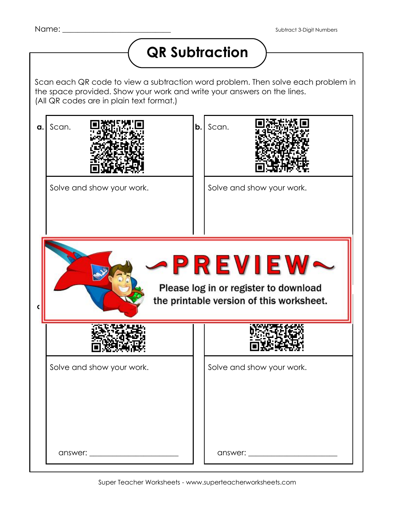## **QR Subtraction**

Scan each QR code to view a subtraction word problem. Then solve each problem in the space provided. Show your work and write your answers on the lines. (All QR codes are in plain text format.)

| a. | Scan.                                                                                               | b. | Scan.                     |
|----|-----------------------------------------------------------------------------------------------------|----|---------------------------|
|    | Solve and show your work.                                                                           |    | Solve and show your work. |
|    | <b>PREVIEW</b><br>Please log in or register to download<br>the printable version of this worksheet. |    |                           |
|    |                                                                                                     |    |                           |
|    | Solve and show your work.                                                                           |    | Solve and show your work. |
|    |                                                                                                     |    |                           |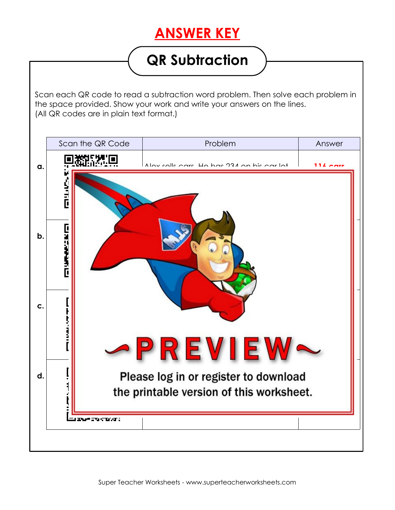## **ANSWER KEY**

## **QR Subtraction**

Scan each QR code to read a subtraction word problem. Then solve each problem in the space provided. Show your work and write your answers on the lines. (All QR codes are in plain text format.)